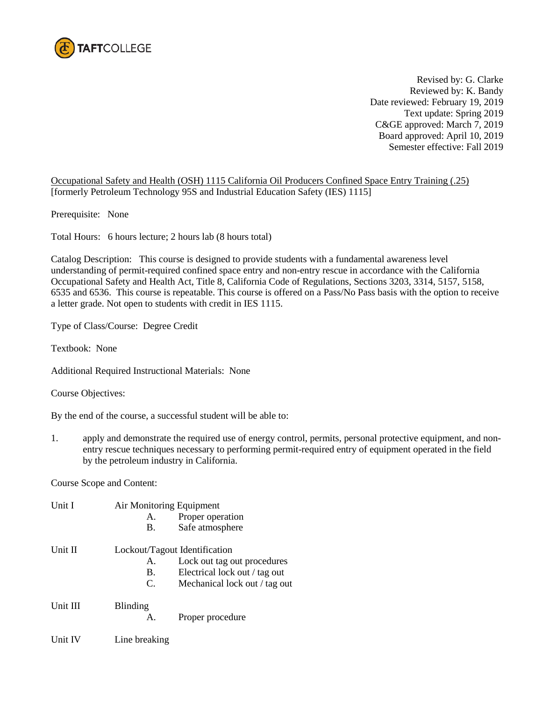

Revised by: G. Clarke Reviewed by: K. Bandy Date reviewed: February 19, 2019 Text update: Spring 2019 C&GE approved: March 7, 2019 Board approved: April 10, 2019 Semester effective: Fall 2019

Occupational Safety and Health (OSH) 1115 California Oil Producers Confined Space Entry Training (.25) [formerly Petroleum Technology 95S and Industrial Education Safety (IES) 1115]

Prerequisite: None

Total Hours: 6 hours lecture; 2 hours lab (8 hours total)

Catalog Description: This course is designed to provide students with a fundamental awareness level understanding of permit-required confined space entry and non-entry rescue in accordance with the California Occupational Safety and Health Act, Title 8, California Code of Regulations, Sections 3203, 3314, 5157, 5158, 6535 and 6536. This course is repeatable. This course is offered on a Pass/No Pass basis with the option to receive a letter grade. Not open to students with credit in IES 1115.

Type of Class/Course: Degree Credit

Textbook: None

Additional Required Instructional Materials: None

Course Objectives:

By the end of the course, a successful student will be able to:

1. apply and demonstrate the required use of energy control, permits, personal protective equipment, and nonentry rescue techniques necessary to performing permit-required entry of equipment operated in the field by the petroleum industry in California.

Course Scope and Content:

| Unit I   | Air Monitoring Equipment      |                               |  |
|----------|-------------------------------|-------------------------------|--|
|          | А.                            | Proper operation              |  |
|          | <b>B.</b>                     | Safe atmosphere               |  |
| Unit II  | Lockout/Tagout Identification |                               |  |
|          | А.                            | Lock out tag out procedures   |  |
|          | <b>B.</b>                     | Electrical lock out / tag out |  |
|          | C.                            | Mechanical lock out / tag out |  |
| Unit III | <b>Blinding</b><br>А.         | Proper procedure              |  |
| Unit IV  | Line breaking                 |                               |  |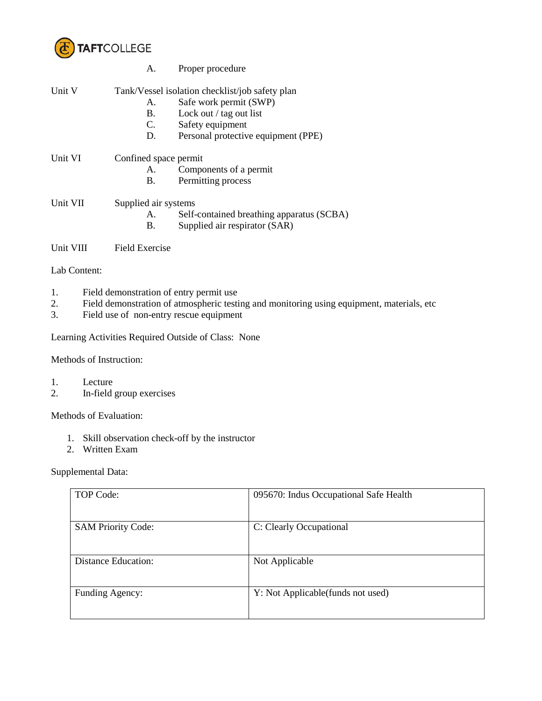

|           | А.                   | Proper procedure                                |  |  |
|-----------|----------------------|-------------------------------------------------|--|--|
| Unit V    |                      | Tank/Vessel isolation checklist/job safety plan |  |  |
|           | Α.                   | Safe work permit (SWP)                          |  |  |
|           | B.                   | Lock out / tag out list                         |  |  |
|           | C.                   | Safety equipment                                |  |  |
|           | D.                   | Personal protective equipment (PPE)             |  |  |
| Unit VI   |                      | Confined space permit                           |  |  |
|           |                      | A. Components of a permit                       |  |  |
|           | <b>B</b> .           | Permitting process                              |  |  |
| Unit VII  | Supplied air systems |                                                 |  |  |
|           | A.                   | Self-contained breathing apparatus (SCBA)       |  |  |
|           | B.                   | Supplied air respirator (SAR)                   |  |  |
| Unit VIII | Field Exercise       |                                                 |  |  |

Lab Content:

- 1. Field demonstration of entry permit use<br>2. Field demonstration of atmospheric testi
- Field demonstration of atmospheric testing and monitoring using equipment, materials, etc
- 3. Field use of non-entry rescue equipment

Learning Activities Required Outside of Class: None

Methods of Instruction:

- 1. Lecture
- 2. In-field group exercises

Methods of Evaluation:

- 1. Skill observation check-off by the instructor
- 2. Written Exam

Supplemental Data:

| TOP Code:                  | 095670: Indus Occupational Safe Health |
|----------------------------|----------------------------------------|
| <b>SAM Priority Code:</b>  | C: Clearly Occupational                |
| <b>Distance Education:</b> | Not Applicable                         |
| Funding Agency:            | Y: Not Applicable (funds not used)     |